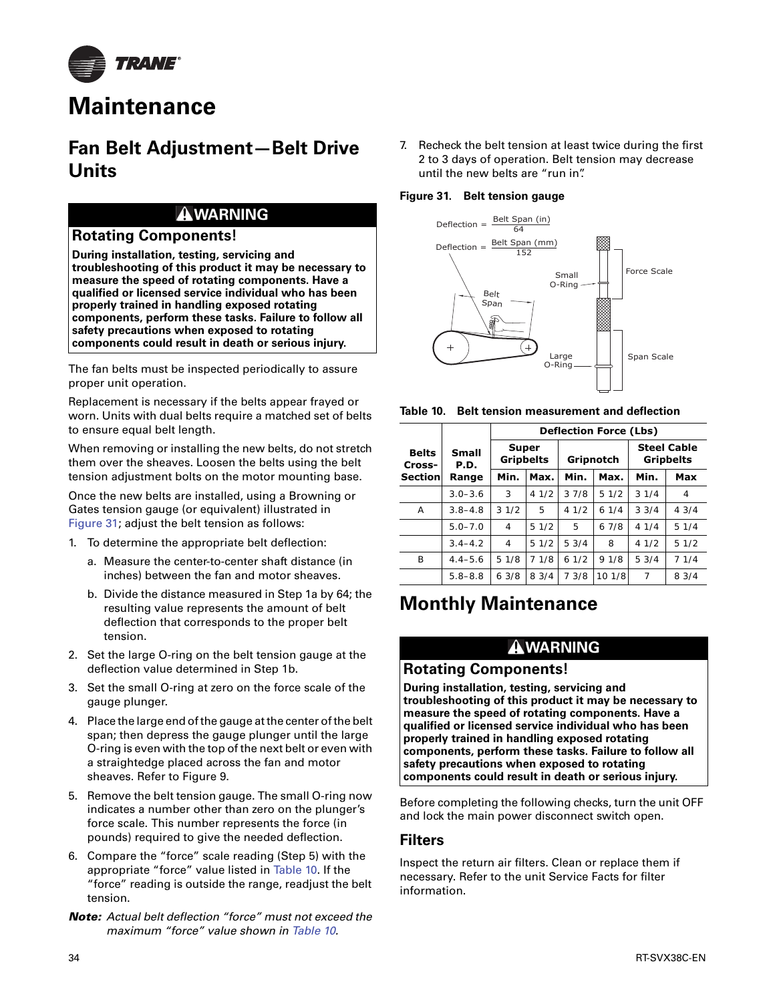

# **Maintenance**

# **Fan Belt Adjustment—Belt Drive Units**

# **WARNING**

### **Rotating Components!**

**During installation, testing, servicing and troubleshooting of this product it may be necessary to measure the speed of rotating components. Have a qualified or licensed service individual who has been properly trained in handling exposed rotating components, perform these tasks. Failure to follow all safety precautions when exposed to rotating components could result in death or serious injury.**

The fan belts must be inspected periodically to assure proper unit operation.

Replacement is necessary if the belts appear frayed or worn. Units with dual belts require a matched set of belts to ensure equal belt length.

When removing or installing the new belts, do not stretch them over the sheaves. Loosen the belts using the belt tension adjustment bolts on the motor mounting base.

Once the new belts are installed, using a Browning or Gates tension gauge (or equivalent) illustrated in Figure 31; adjust the belt tension as follows:

- 1. To determine the appropriate belt deflection:
	- a. Measure the center-to-center shaft distance (in inches) between the fan and motor sheaves.
	- b. Divide the distance measured in Step 1a by 64; the resulting value represents the amount of belt deflection that corresponds to the proper belt tension.
- 2. Set the large O-ring on the belt tension gauge at the deflection value determined in Step 1b.
- 3. Set the small O-ring at zero on the force scale of the gauge plunger.
- 4. Place the large end of the gauge at the center of the belt span; then depress the gauge plunger until the large O-ring is even with the top of the next belt or even with a straightedge placed across the fan and motor sheaves. Refer to Figure 9.
- 5. Remove the belt tension gauge. The small O-ring now indicates a number other than zero on the plunger's force scale. This number represents the force (in pounds) required to give the needed deflection.
- 6. Compare the "force" scale reading (Step 5) with the appropriate "force" value listed in Table 10. If the "force" reading is outside the range, readjust the belt tension.
- *Note: Actual belt deflection "force" must not exceed the maximum "force" value shown in Table 10.*

7. Recheck the belt tension at least twice during the first 2 to 3 days of operation. Belt tension may decrease until the new belts are "run in".

#### **Figure 31. Belt tension gauge**





|                        |                      |                                  | <b>Deflection Force (Lbs)</b> |           |        |                                        |       |
|------------------------|----------------------|----------------------------------|-------------------------------|-----------|--------|----------------------------------------|-------|
| <b>Belts</b><br>Cross- | <b>Small</b><br>P.D. | <b>Super</b><br><b>Gripbelts</b> |                               | Gripnotch |        | <b>Steel Cable</b><br><b>Gripbelts</b> |       |
| <b>Section</b>         | Range                | Min.                             | Max.                          | Min.      | Max.   | Min.                                   | Max   |
|                        | $3.0 - 3.6$          | 3                                | 41/2                          | 37/8      | 51/2   | 31/4                                   | 4     |
| A                      | $3.8 - 4.8$          | 31/2                             | 5                             | 41/2      | 61/4   | 3.3/4                                  | 4.3/4 |
|                        | $5.0 - 7.0$          | $\overline{4}$                   | 51/2                          | 5         | 67/8   | 41/4                                   | 51/4  |
|                        | $3.4 - 4.2$          | 4                                | 51/2                          | 5.3/4     | 8      | 41/2                                   | 51/2  |
| B                      | $4.4 - 5.6$          | 51/8                             | 71/8                          | 61/2      | 91/8   | 5.3/4                                  | 71/4  |
|                        | $5.8 - 8.8$          | 63/8                             | 83/4                          | 7 3/8     | 10 1/8 | 7                                      | 83/4  |

# **Monthly Maintenance**

# **WARNING**

### **Rotating Components!**

**During installation, testing, servicing and troubleshooting of this product it may be necessary to measure the speed of rotating components. Have a qualified or licensed service individual who has been properly trained in handling exposed rotating components, perform these tasks. Failure to follow all safety precautions when exposed to rotating components could result in death or serious injury.**

Before completing the following checks, turn the unit OFF and lock the main power disconnect switch open.

### **Filters**

Inspect the return air filters. Clean or replace them if necessary. Refer to the unit Service Facts for filter information.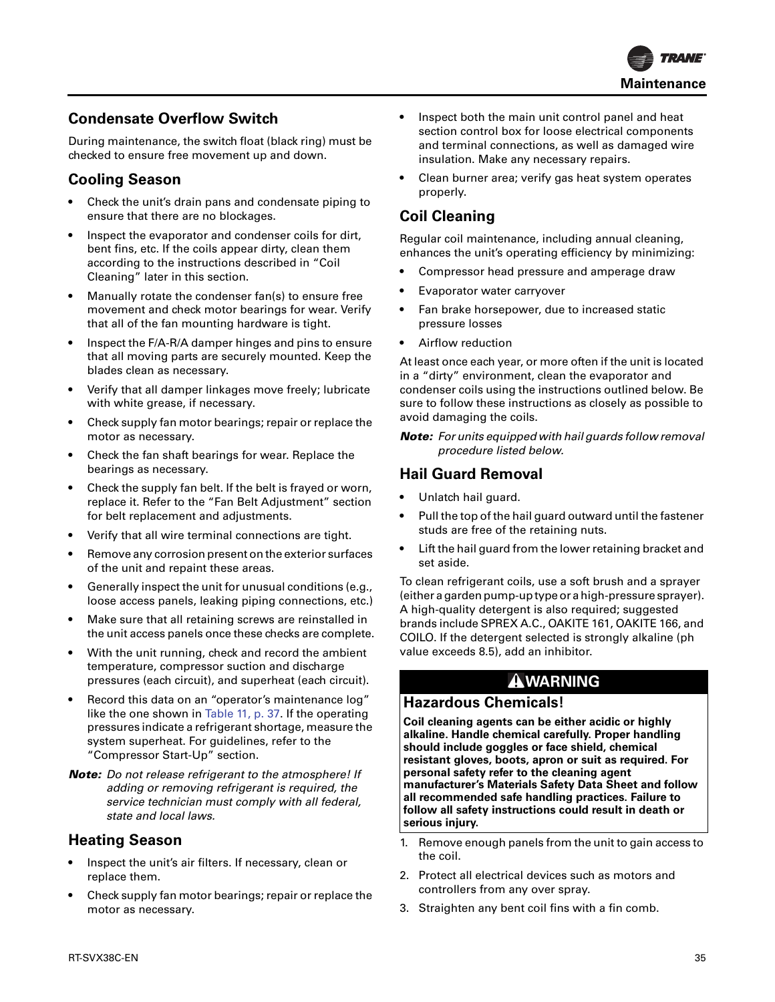

# **Condensate Overflow Switch**

During maintenance, the switch float (black ring) must be checked to ensure free movement up and down.

### **Cooling Season**

- Check the unit's drain pans and condensate piping to ensure that there are no blockages.
- Inspect the evaporator and condenser coils for dirt, bent fins, etc. If the coils appear dirty, clean them according to the instructions described in "Coil Cleaning" later in this section.
- Manually rotate the condenser fan(s) to ensure free movement and check motor bearings for wear. Verify that all of the fan mounting hardware is tight.
- Inspect the F/A-R/A damper hinges and pins to ensure that all moving parts are securely mounted. Keep the blades clean as necessary.
- Verify that all damper linkages move freely; lubricate with white grease, if necessary.
- Check supply fan motor bearings; repair or replace the motor as necessary.
- Check the fan shaft bearings for wear. Replace the bearings as necessary.
- Check the supply fan belt. If the belt is frayed or worn, replace it. Refer to the "Fan Belt Adjustment" section for belt replacement and adjustments.
- Verify that all wire terminal connections are tight.
- Remove any corrosion present on the exterior surfaces of the unit and repaint these areas.
- Generally inspect the unit for unusual conditions (e.g., loose access panels, leaking piping connections, etc.)
- Make sure that all retaining screws are reinstalled in the unit access panels once these checks are complete.
- With the unit running, check and record the ambient temperature, compressor suction and discharge pressures (each circuit), and superheat (each circuit).
- Record this data on an "operator's maintenance log" like the one shown in Table 11, p. 37. If the operating pressures indicate a refrigerant shortage, measure the system superheat. For guidelines, refer to the "Compressor Start-Up" section.
- *Note: Do not release refrigerant to the atmosphere! If adding or removing refrigerant is required, the service technician must comply with all federal, state and local laws.*

# **Heating Season**

- Inspect the unit's air filters. If necessary, clean or replace them.
- Check supply fan motor bearings; repair or replace the motor as necessary.
- Inspect both the main unit control panel and heat section control box for loose electrical components and terminal connections, as well as damaged wire insulation. Make any necessary repairs.
- Clean burner area; verify gas heat system operates properly.

# **Coil Cleaning**

Regular coil maintenance, including annual cleaning, enhances the unit's operating efficiency by minimizing:

- Compressor head pressure and amperage draw
- Evaporator water carryover
- Fan brake horsepower, due to increased static pressure losses
- Airflow reduction

At least once each year, or more often if the unit is located in a "dirty" environment, clean the evaporator and condenser coils using the instructions outlined below. Be sure to follow these instructions as closely as possible to avoid damaging the coils.

*Note: For units equipped with hail guards follow removal procedure listed below.* 

# **Hail Guard Removal**

- Unlatch hail guard.
- Pull the top of the hail guard outward until the fastener studs are free of the retaining nuts.
- Lift the hail guard from the lower retaining bracket and set aside.

To clean refrigerant coils, use a soft brush and a sprayer (either a garden pump-up type or a high-pressure sprayer). A high-quality detergent is also required; suggested brands include SPREX A.C., OAKITE 161, OAKITE 166, and COILO. If the detergent selected is strongly alkaline (ph value exceeds 8.5), add an inhibitor.

# **WARNING**

### **Hazardous Chemicals!**

**Coil cleaning agents can be either acidic or highly alkaline. Handle chemical carefully. Proper handling should include goggles or face shield, chemical resistant gloves, boots, apron or suit as required. For personal safety refer to the cleaning agent manufacturer's Materials Safety Data Sheet and follow all recommended safe handling practices. Failure to follow all safety instructions could result in death or serious injury.**

- 1. Remove enough panels from the unit to gain access to the coil.
- 2. Protect all electrical devices such as motors and controllers from any over spray.
- 3. Straighten any bent coil fins with a fin comb.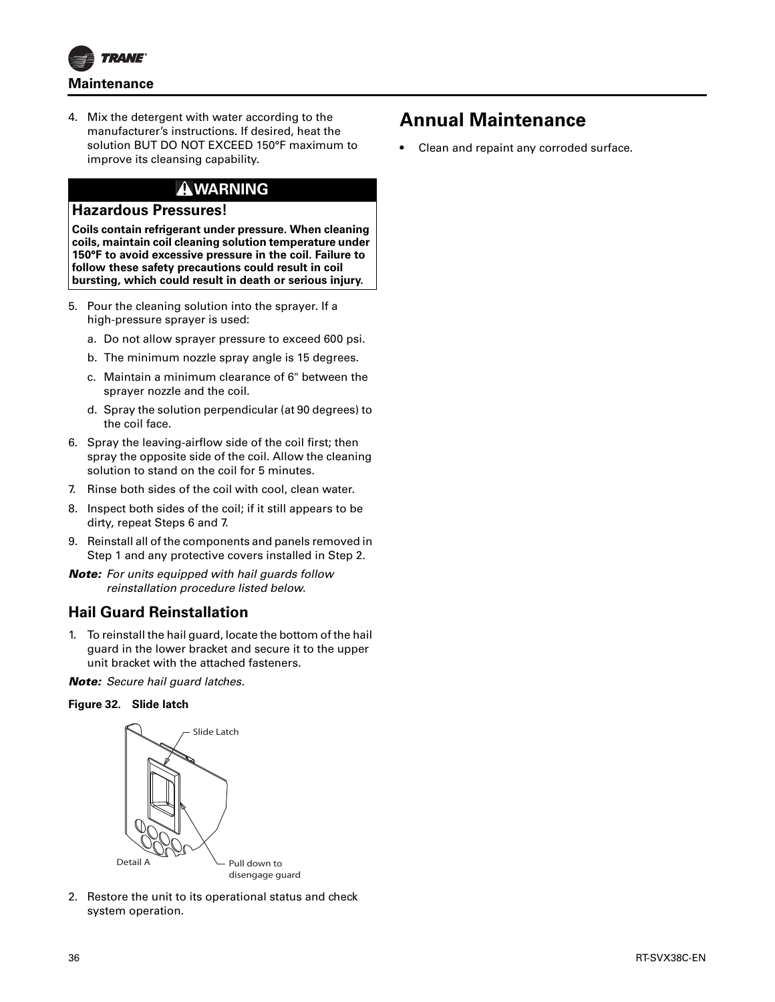

4. Mix the detergent with water according to the manufacturer's instructions. If desired, heat the solution BUT DO NOT EXCEED 150°F maximum to improve its cleansing capability.

# **WARNING**

#### **Hazardous Pressures!**

**Coils contain refrigerant under pressure. When cleaning coils, maintain coil cleaning solution temperature under 150°F to avoid excessive pressure in the coil. Failure to follow these safety precautions could result in coil bursting, which could result in death or serious injury.**

- 5. Pour the cleaning solution into the sprayer. If a high-pressure sprayer is used:
	- a. Do not allow sprayer pressure to exceed 600 psi.
	- b. The minimum nozzle spray angle is 15 degrees.
	- c. Maintain a minimum clearance of 6" between the sprayer nozzle and the coil.
	- d. Spray the solution perpendicular (at 90 degrees) to the coil face.
- 6. Spray the leaving-airflow side of the coil first; then spray the opposite side of the coil. Allow the cleaning solution to stand on the coil for 5 minutes.
- 7. Rinse both sides of the coil with cool, clean water.
- 8. Inspect both sides of the coil; if it still appears to be dirty, repeat Steps 6 and 7.
- 9. Reinstall all of the components and panels removed in Step 1 and any protective covers installed in Step 2.
- *Note: For units equipped with hail guards follow reinstallation procedure listed below.*

# **Hail Guard Reinstallation**

1. To reinstall the hail guard, locate the bottom of the hail guard in the lower bracket and secure it to the upper unit bracket with the attached fasteners.

*Note: Secure hail guard latches.*

#### **Figure 32. Slide latch**



2. Restore the unit to its operational status and check system operation.

# **Annual Maintenance**

• Clean and repaint any corroded surface.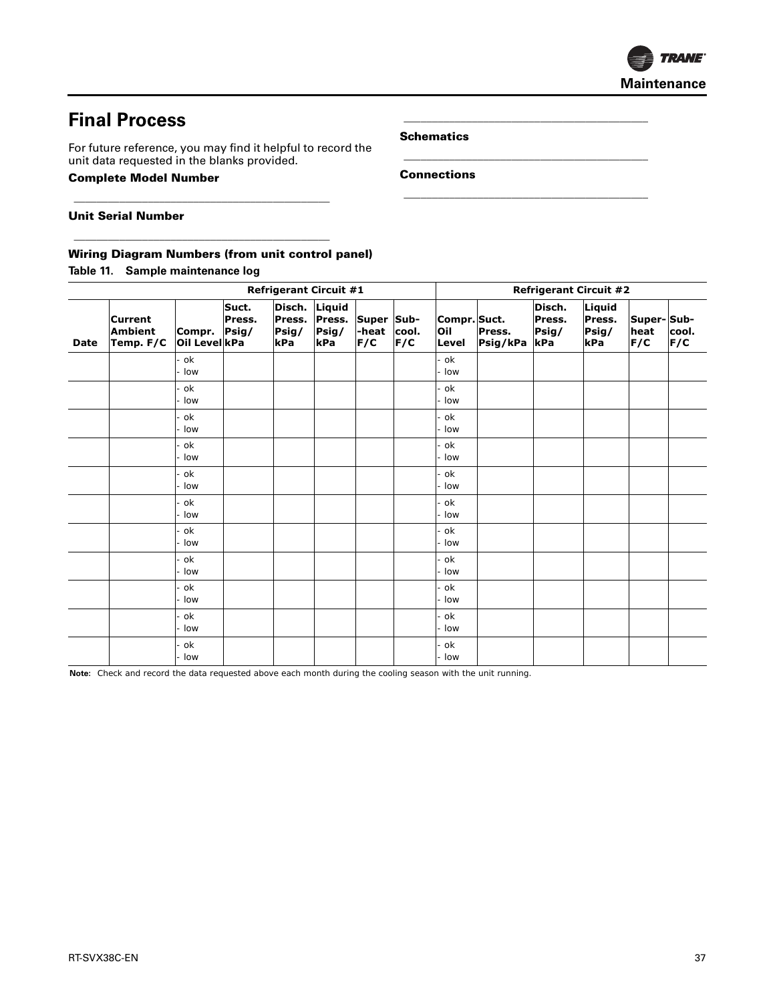

# **Final Process**

For future reference, you may find it helpful to record the unit data requested in the blanks provided.

\_\_\_\_\_\_\_\_\_\_\_\_\_\_\_\_\_\_\_\_\_\_\_\_\_\_\_\_\_\_\_\_\_\_\_\_\_\_\_\_\_\_\_\_\_

\_\_\_\_\_\_\_\_\_\_\_\_\_\_\_\_\_\_\_\_\_\_\_\_\_\_\_\_\_\_\_\_\_\_\_\_\_\_\_\_\_\_\_\_\_

#### **Complete Model Number**

**Schematics**

\_\_\_\_\_\_\_\_\_\_\_\_\_\_\_\_\_\_\_\_\_\_\_\_\_\_\_\_\_\_\_\_\_\_\_\_\_\_\_\_\_\_\_

\_\_\_\_\_\_\_\_\_\_\_\_\_\_\_\_\_\_\_\_\_\_\_\_\_\_\_\_\_\_\_\_\_\_\_\_\_\_\_\_\_\_\_

\_\_\_\_\_\_\_\_\_\_\_\_\_\_\_\_\_\_\_\_\_\_\_\_\_\_\_\_\_\_\_\_\_\_\_\_\_\_\_\_\_\_\_

**Connections**

**Unit Serial Number**

#### **Wiring Diagram Numbers (from unit control panel)**

**Table 11. Sample maintenance log**

| <b>Refrigerant Circuit #1</b> |                                               |                         |                          | <b>Refrigerant Circuit #2</b>    |                                  |                            |              |                              |                    |                                  |                                  |                           |              |
|-------------------------------|-----------------------------------------------|-------------------------|--------------------------|----------------------------------|----------------------------------|----------------------------|--------------|------------------------------|--------------------|----------------------------------|----------------------------------|---------------------------|--------------|
| <b>Date</b>                   | <b>Current</b><br><b>Ambient</b><br>Temp. F/C | Compr.<br>Oil Level kPa | Suct.<br>Press.<br>Psig/ | Disch.<br>Press.<br>Psig/<br>kPa | Liquid<br>Press.<br>Psig/<br>kPa | Super Sub-<br>-heat<br>F/C | cool.<br>F/C | Compr. Suct.<br>Oil<br>Level | Press.<br>Psig/kPa | Disch.<br>Press.<br>Psig/<br>kPa | Liquid<br>Press.<br>Psig/<br>kPa | Super-Sub-<br>heat<br>F/C | cool.<br>F/C |
|                               |                                               | ok<br>low               |                          |                                  |                                  |                            |              | . ok<br>· Iow                |                    |                                  |                                  |                           |              |
|                               |                                               | ok<br>low               |                          |                                  |                                  |                            |              | - ok<br>- Iow                |                    |                                  |                                  |                           |              |
|                               |                                               | ok<br>low               |                          |                                  |                                  |                            |              | ok<br>low                    |                    |                                  |                                  |                           |              |
|                               |                                               | ok<br>low               |                          |                                  |                                  |                            |              | - ok<br>- Iow                |                    |                                  |                                  |                           |              |
|                               |                                               | ok<br>low               |                          |                                  |                                  |                            |              | . ok<br>low                  |                    |                                  |                                  |                           |              |
|                               |                                               | ok<br>low               |                          |                                  |                                  |                            |              | ok ·<br>- Iow                |                    |                                  |                                  |                           |              |
|                               |                                               | ok<br>low               |                          |                                  |                                  |                            |              | ok<br>· Iow                  |                    |                                  |                                  |                           |              |
|                               |                                               | ok<br>low               |                          |                                  |                                  |                            |              | - ok<br>- Iow                |                    |                                  |                                  |                           |              |
|                               |                                               | ok<br>low               |                          |                                  |                                  |                            |              | - ok<br>- Iow                |                    |                                  |                                  |                           |              |
|                               |                                               | ok<br>low               |                          |                                  |                                  |                            |              | - ok<br>- Iow                |                    |                                  |                                  |                           |              |
|                               |                                               | ok<br>low               |                          |                                  |                                  |                            |              | ok<br>· Iow                  |                    |                                  |                                  |                           |              |

**Note:** Check and record the data requested above each month during the cooling season with the unit running.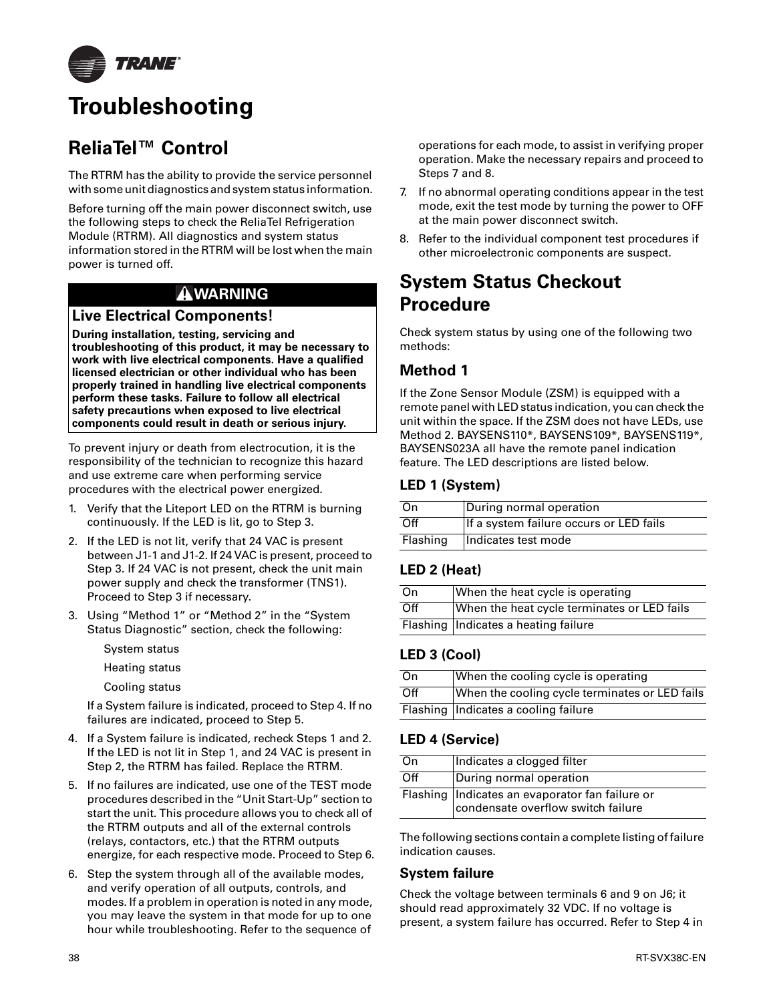

# **Troubleshooting**

# **ReliaTel™ Control**

The RTRM has the ability to provide the service personnel with some unit diagnostics and system status information.

Before turning off the main power disconnect switch, use the following steps to check the ReliaTel Refrigeration Module (RTRM). All diagnostics and system status information stored in the RTRM will be lost when the main power is turned off.

# **WARNING**

# **Live Electrical Components!**

**During installation, testing, servicing and troubleshooting of this product, it may be necessary to work with live electrical components. Have a qualified licensed electrician or other individual who has been properly trained in handling live electrical components perform these tasks. Failure to follow all electrical safety precautions when exposed to live electrical components could result in death or serious injury.**

To prevent injury or death from electrocution, it is the responsibility of the technician to recognize this hazard and use extreme care when performing service procedures with the electrical power energized.

- 1. Verify that the Liteport LED on the RTRM is burning continuously. If the LED is lit, go to Step 3.
- 2. If the LED is not lit, verify that 24 VAC is present between J1-1 and J1-2. If 24 VAC is present, proceed to Step 3. If 24 VAC is not present, check the unit main power supply and check the transformer (TNS1). Proceed to Step 3 if necessary.
- 3. Using "Method 1" or "Method 2" in the "System Status Diagnostic" section, check the following:
	- System status
	- Heating status
	- Cooling status

If a System failure is indicated, proceed to Step 4. If no failures are indicated, proceed to Step 5.

- 4. If a System failure is indicated, recheck Steps 1 and 2. If the LED is not lit in Step 1, and 24 VAC is present in Step 2, the RTRM has failed. Replace the RTRM.
- 5. If no failures are indicated, use one of the TEST mode procedures described in the "Unit Start-Up" section to start the unit. This procedure allows you to check all of the RTRM outputs and all of the external controls (relays, contactors, etc.) that the RTRM outputs energize, for each respective mode. Proceed to Step 6.
- 6. Step the system through all of the available modes, and verify operation of all outputs, controls, and modes. If a problem in operation is noted in any mode, you may leave the system in that mode for up to one hour while troubleshooting. Refer to the sequence of

operations for each mode, to assist in verifying proper operation. Make the necessary repairs and proceed to Steps 7 and 8.

- 7. If no abnormal operating conditions appear in the test mode, exit the test mode by turning the power to OFF at the main power disconnect switch.
- 8. Refer to the individual component test procedures if other microelectronic components are suspect.

# **System Status Checkout Procedure**

Check system status by using one of the following two methods:

# **Method 1**

If the Zone Sensor Module (ZSM) is equipped with a remote panel with LED status indication, you can check the unit within the space. If the ZSM does not have LEDs, use Method 2. BAYSENS110\*, BAYSENS109\*, BAYSENS119\*, BAYSENS023A all have the remote panel indication feature. The LED descriptions are listed below.

### **LED 1 (System)**

| On       | During normal operation                 |
|----------|-----------------------------------------|
| Off      | If a system failure occurs or LED fails |
| Flashing | Indicates test mode                     |

# **LED 2 (Heat)**

| On  | When the heat cycle is operating            |
|-----|---------------------------------------------|
| Off | When the heat cycle terminates or LED fails |
|     | Flashing   Indicates a heating failure      |

# **LED 3 (Cool)**

| On               | When the cooling cycle is operating            |
|------------------|------------------------------------------------|
| $\overline{Off}$ | When the cooling cycle terminates or LED fails |
|                  | Flashing   Indicates a cooling failure         |

# **LED 4 (Service)**

| On  | Indicates a clogged filter                                                              |
|-----|-----------------------------------------------------------------------------------------|
| Off | During normal operation                                                                 |
|     | Flashing   Indicates an evaporator fan failure or<br>condensate overflow switch failure |

The following sections contain a complete listing of failure indication causes.

### **System failure**

Check the voltage between terminals 6 and 9 on J6; it should read approximately 32 VDC. If no voltage is present, a system failure has occurred. Refer to Step 4 in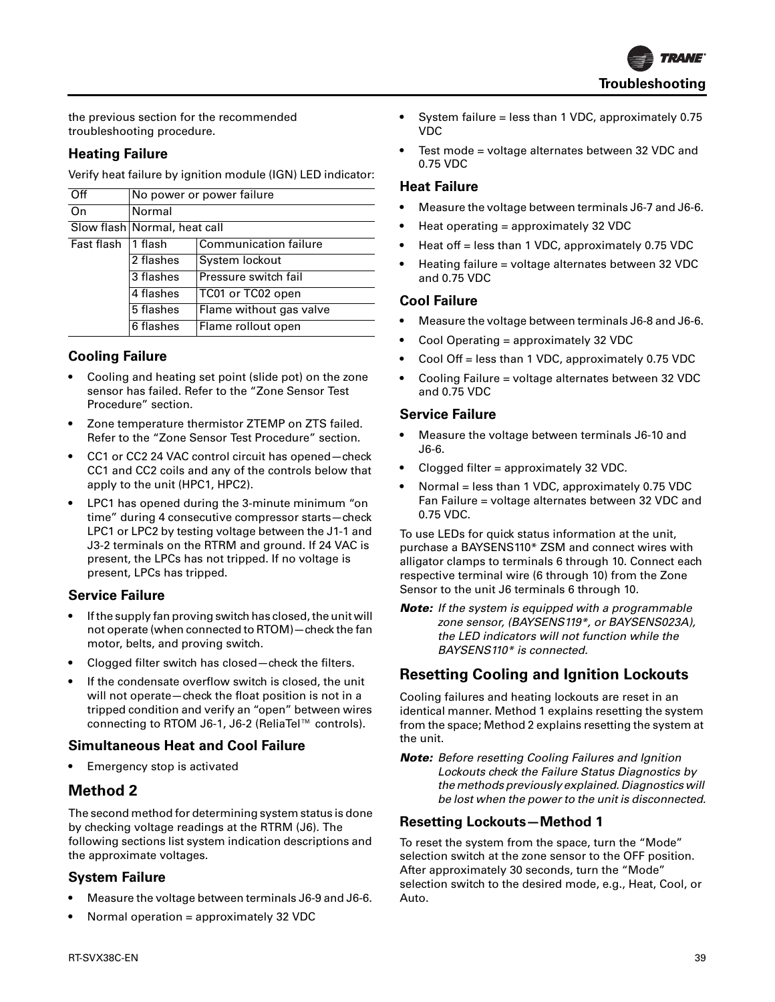

the previous section for the recommended troubleshooting procedure.

#### **Heating Failure**

Verify heat failure by ignition module (IGN) LED indicator:

| Off        | No power or power failure    |                              |  |  |  |  |
|------------|------------------------------|------------------------------|--|--|--|--|
| On         | Normal                       |                              |  |  |  |  |
|            | Slow flash Normal, heat call |                              |  |  |  |  |
| Fast flash | 1 flash                      | <b>Communication failure</b> |  |  |  |  |
|            | 2 flashes                    | System lockout               |  |  |  |  |
|            | 3 flashes                    | Pressure switch fail         |  |  |  |  |
|            | 4 flashes                    | TC01 or TC02 open            |  |  |  |  |
|            | 5 flashes                    | Flame without gas valve      |  |  |  |  |
|            | 6 flashes                    | Flame rollout open           |  |  |  |  |

#### **Cooling Failure**

- Cooling and heating set point (slide pot) on the zone sensor has failed. Refer to the "Zone Sensor Test Procedure" section.
- Zone temperature thermistor ZTEMP on ZTS failed. Refer to the "Zone Sensor Test Procedure" section.
- CC1 or CC2 24 VAC control circuit has opened—check CC1 and CC2 coils and any of the controls below that apply to the unit (HPC1, HPC2).
- LPC1 has opened during the 3-minute minimum "on time" during 4 consecutive compressor starts—check LPC1 or LPC2 by testing voltage between the J1-1 and J3-2 terminals on the RTRM and ground. If 24 VAC is present, the LPCs has not tripped. If no voltage is present, LPCs has tripped.

### **Service Failure**

- If the supply fan proving switch has closed, the unit will not operate (when connected to RTOM)—check the fan motor, belts, and proving switch.
- Clogged filter switch has closed—check the filters.
- If the condensate overflow switch is closed, the unit will not operate—check the float position is not in a tripped condition and verify an "open" between wires connecting to RTOM J6-1, J6-2 (ReliaTel™ controls).

#### **Simultaneous Heat and Cool Failure**

• Emergency stop is activated

### **Method 2**

The second method for determining system status is done by checking voltage readings at the RTRM (J6). The following sections list system indication descriptions and the approximate voltages.

#### **System Failure**

- Measure the voltage between terminals J6-9 and J6-6.
- Normal operation = approximately 32 VDC
- System failure = less than 1 VDC, approximately 0.75 VDC
- Test mode = voltage alternates between 32 VDC and 0.75 VDC

#### **Heat Failure**

- Measure the voltage between terminals J6-7 and J6-6.
- Heat operating = approximately 32 VDC
- Heat off = less than 1 VDC, approximately 0.75 VDC
- Heating failure = voltage alternates between 32 VDC and 0.75 VDC

#### **Cool Failure**

- Measure the voltage between terminals J6-8 and J6-6.
- Cool Operating = approximately 32 VDC
- Cool Off = less than 1 VDC, approximately 0.75 VDC
- Cooling Failure = voltage alternates between 32 VDC and 0.75 VDC

#### **Service Failure**

- Measure the voltage between terminals J6-10 and J6-6.
- Clogged filter = approximately 32 VDC.
- Normal = less than 1 VDC, approximately 0.75 VDC Fan Failure = voltage alternates between 32 VDC and 0.75 VDC.

To use LEDs for quick status information at the unit, purchase a BAYSENS110\* ZSM and connect wires with alligator clamps to terminals 6 through 10. Connect each respective terminal wire (6 through 10) from the Zone Sensor to the unit J6 terminals 6 through 10.

*Note: If the system is equipped with a programmable zone sensor, (BAYSENS119\*, or BAYSENS023A), the LED indicators will not function while the BAYSENS110\* is connected.*

# **Resetting Cooling and Ignition Lockouts**

Cooling failures and heating lockouts are reset in an identical manner. Method 1 explains resetting the system from the space; Method 2 explains resetting the system at the unit.

*Note: Before resetting Cooling Failures and Ignition Lockouts check the Failure Status Diagnostics by the methods previously explained. Diagnostics will be lost when the power to the unit is disconnected.*

#### **Resetting Lockouts—Method 1**

To reset the system from the space, turn the "Mode" selection switch at the zone sensor to the OFF position. After approximately 30 seconds, turn the "Mode" selection switch to the desired mode, e.g., Heat, Cool, or Auto.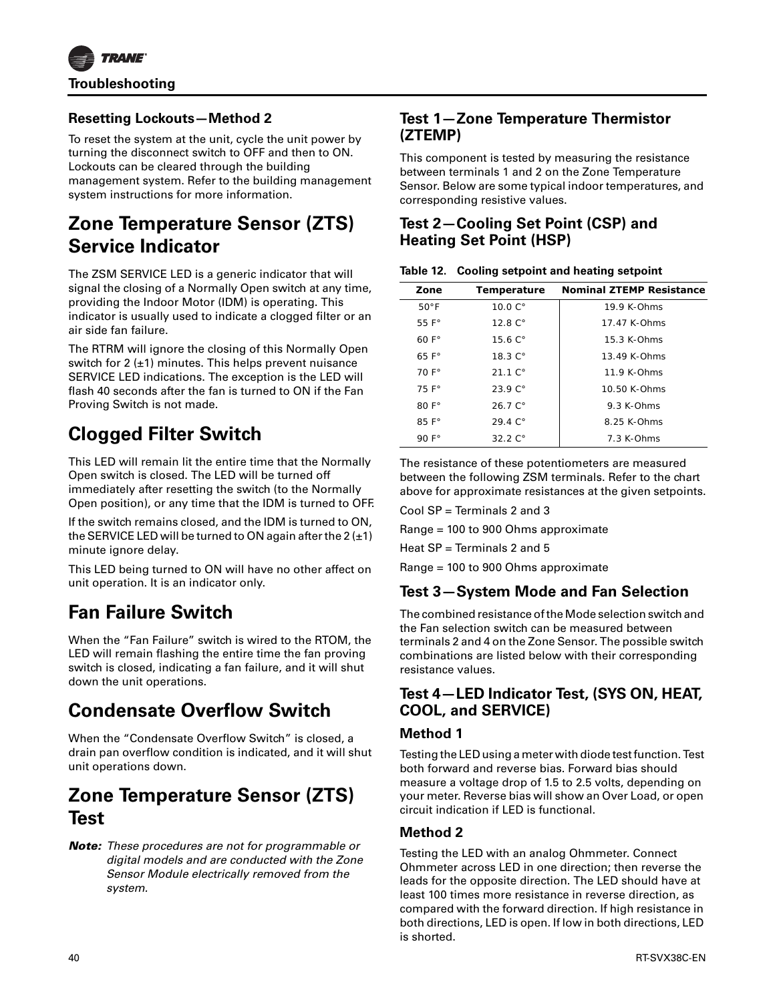

### **Resetting Lockouts—Method 2**

To reset the system at the unit, cycle the unit power by turning the disconnect switch to OFF and then to ON. Lockouts can be cleared through the building management system. Refer to the building management system instructions for more information.

# **Zone Temperature Sensor (ZTS) Service Indicator**

The ZSM SERVICE LED is a generic indicator that will signal the closing of a Normally Open switch at any time, providing the Indoor Motor (IDM) is operating. This indicator is usually used to indicate a clogged filter or an air side fan failure.

The RTRM will ignore the closing of this Normally Open switch for 2  $(\pm 1)$  minutes. This helps prevent nuisance SERVICE LED indications. The exception is the LED will flash 40 seconds after the fan is turned to ON if the Fan Proving Switch is not made.

# **Clogged Filter Switch**

This LED will remain lit the entire time that the Normally Open switch is closed. The LED will be turned off immediately after resetting the switch (to the Normally Open position), or any time that the IDM is turned to OFF.

If the switch remains closed, and the IDM is turned to ON, the SERVICE LED will be turned to ON again after the  $2 (+1)$ minute ignore delay.

This LED being turned to ON will have no other affect on unit operation. It is an indicator only.

# **Fan Failure Switch**

When the "Fan Failure" switch is wired to the RTOM, the LED will remain flashing the entire time the fan proving switch is closed, indicating a fan failure, and it will shut down the unit operations.

# **Condensate Overflow Switch**

When the "Condensate Overflow Switch" is closed, a drain pan overflow condition is indicated, and it will shut unit operations down.

# **Zone Temperature Sensor (ZTS) Test**

*Note: These procedures are not for programmable or digital models and are conducted with the Zone Sensor Module electrically removed from the system.*

# **Test 1—Zone Temperature Thermistor (ZTEMP)**

This component is tested by measuring the resistance between terminals 1 and 2 on the Zone Temperature Sensor. Below are some typical indoor temperatures, and corresponding resistive values.

# **Test 2—Cooling Set Point (CSP) and Heating Set Point (HSP)**

| Table 12. Cooling setpoint and heating setpoint |  |  |  |
|-------------------------------------------------|--|--|--|
|                                                 |  |  |  |

| Zone           | <b>Temperature</b>  | <b>Nominal ZTEMP Resistance</b> |
|----------------|---------------------|---------------------------------|
| $50^{\circ}$ F | $10.0 C$ °          | 19.9 K-Ohms                     |
| 55 $F^{\circ}$ | $12.8^\circ$        | 17 47 K-Ohms                    |
| $60 F$ °       | 15.6C <sup>o</sup>  | $15.3$ K-Ohms                   |
| 65 $F^{\circ}$ | 18.3C <sup>o</sup>  | $13.49$ K-Ohms                  |
| $70 F^{\circ}$ | $21.1 \degree$      | $11.9 K$ -Ohms                  |
| 75 F°          | $23.9C$ °           | $10.50$ K-Ohms                  |
| $80 F$ °       | $26.7C$ °           | $9.3 K$ -Ohms                   |
| $85 F^\circ$   | 29.4C <sup>o</sup>  | 8 25 K-Ohms                     |
| 90 $F^{\circ}$ | 32.2 C <sup>o</sup> | $7.3$ K-Ohms                    |

The resistance of these potentiometers are measured between the following ZSM terminals. Refer to the chart above for approximate resistances at the given setpoints.

Cool SP = Terminals 2 and 3

Range = 100 to 900 Ohms approximate

Heat SP = Terminals 2 and 5

Range = 100 to 900 Ohms approximate

# **Test 3—System Mode and Fan Selection**

The combined resistance of the Mode selection switch and the Fan selection switch can be measured between terminals 2 and 4 on the Zone Sensor. The possible switch combinations are listed below with their corresponding resistance values.

# **Test 4—LED Indicator Test, (SYS ON, HEAT, COOL, and SERVICE)**

### **Method 1**

Testing the LED using a meter with diode test function. Test both forward and reverse bias. Forward bias should measure a voltage drop of 1.5 to 2.5 volts, depending on your meter. Reverse bias will show an Over Load, or open circuit indication if LED is functional.

# **Method 2**

Testing the LED with an analog Ohmmeter. Connect Ohmmeter across LED in one direction; then reverse the leads for the opposite direction. The LED should have at least 100 times more resistance in reverse direction, as compared with the forward direction. If high resistance in both directions, LED is open. If low in both directions, LED is shorted.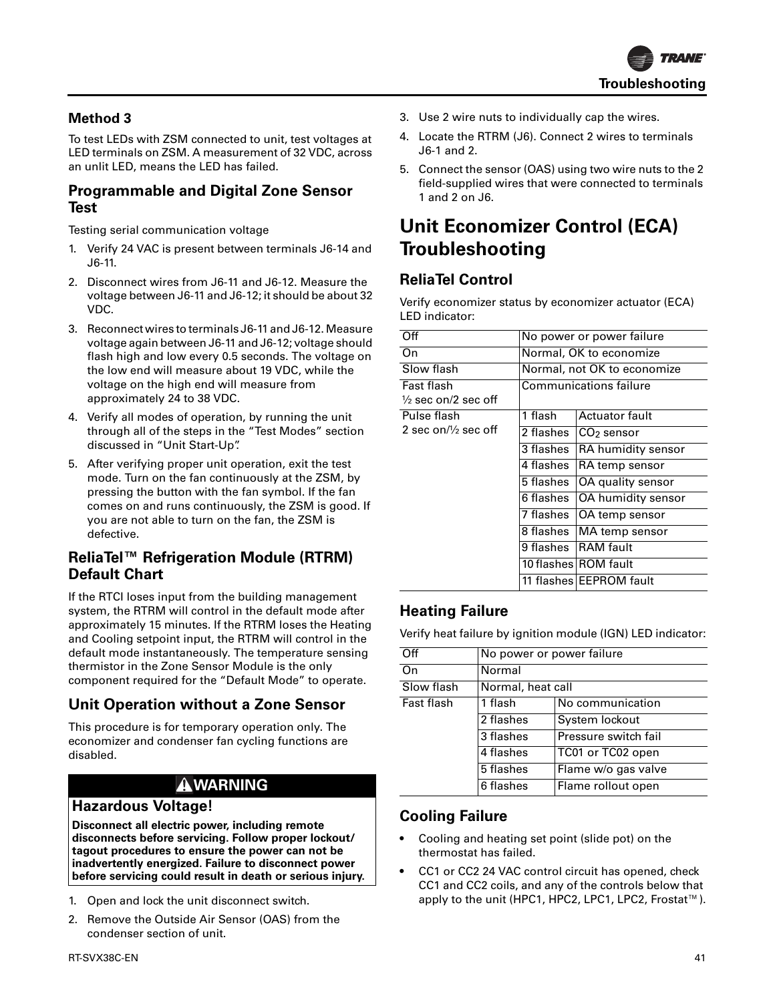

### **Method 3**

To test LEDs with ZSM connected to unit, test voltages at LED terminals on ZSM. A measurement of 32 VDC, across an unlit LED, means the LED has failed.

#### **Programmable and Digital Zone Sensor Test**

Testing serial communication voltage

- 1. Verify 24 VAC is present between terminals J6-14 and J6-11.
- 2. Disconnect wires from J6-11 and J6-12. Measure the voltage between J6-11 and J6-12; it should be about 32 VDC.
- 3. Reconnect wires to terminals J6-11 and J6-12. Measure voltage again between J6-11 and J6-12; voltage should flash high and low every 0.5 seconds. The voltage on the low end will measure about 19 VDC, while the voltage on the high end will measure from approximately 24 to 38 VDC.
- 4. Verify all modes of operation, by running the unit through all of the steps in the "Test Modes" section discussed in "Unit Start-Up".
- 5. After verifying proper unit operation, exit the test mode. Turn on the fan continuously at the ZSM, by pressing the button with the fan symbol. If the fan comes on and runs continuously, the ZSM is good. If you are not able to turn on the fan, the ZSM is defective.

# **ReliaTel™ Refrigeration Module (RTRM) Default Chart**

If the RTCI loses input from the building management system, the RTRM will control in the default mode after approximately 15 minutes. If the RTRM loses the Heating and Cooling setpoint input, the RTRM will control in the default mode instantaneously. The temperature sensing thermistor in the Zone Sensor Module is the only component required for the "Default Mode" to operate.

# **Unit Operation without a Zone Sensor**

This procedure is for temporary operation only. The economizer and condenser fan cycling functions are disabled.

### **WARNING**

#### **Hazardous Voltage!**

**Disconnect all electric power, including remote disconnects before servicing. Follow proper lockout/ tagout procedures to ensure the power can not be inadvertently energized. Failure to disconnect power before servicing could result in death or serious injury.**

- 1. Open and lock the unit disconnect switch.
- 2. Remove the Outside Air Sensor (OAS) from the condenser section of unit.
- 3. Use 2 wire nuts to individually cap the wires.
- 4. Locate the RTRM (J6). Connect 2 wires to terminals J6-1 and 2.
- 5. Connect the sensor (OAS) using two wire nuts to the 2 field-supplied wires that were connected to terminals 1 and 2 on J6.

# **Unit Economizer Control (ECA) Troubleshooting**

# **ReliaTel Control**

Verify economizer status by economizer actuator (ECA) LED indicator:

| Off                             | No power or power failure |                             |  |  |
|---------------------------------|---------------------------|-----------------------------|--|--|
| On                              | Normal, OK to economize   |                             |  |  |
| Slow flash                      |                           | Normal, not OK to economize |  |  |
| Fast flash                      |                           | Communications failure      |  |  |
| $\frac{1}{2}$ sec on/2 sec off  |                           |                             |  |  |
| Pulse flash                     | 1 flash                   | <b>Actuator fault</b>       |  |  |
| 2 sec on/ $\frac{1}{2}$ sec off | 2 flashes                 | $CO2$ sensor                |  |  |
|                                 | 3 flashes                 | RA humidity sensor          |  |  |
|                                 | 4 flashes                 | RA temp sensor              |  |  |
|                                 | 5 flashes                 | OA quality sensor           |  |  |
|                                 | 6 flashes                 | OA humidity sensor          |  |  |
|                                 | 7 flashes                 | OA temp sensor              |  |  |
|                                 | 8 flashes                 | MA temp sensor              |  |  |
|                                 | 9 flashes                 | <b>RAM</b> fault            |  |  |
|                                 |                           | 10 flashes ROM fault        |  |  |
|                                 |                           | 11 flashes EEPROM fault     |  |  |

# **Heating Failure**

Verify heat failure by ignition module (IGN) LED indicator:

| Off        | No power or power failure |                      |  |  |
|------------|---------------------------|----------------------|--|--|
| On         | Normal                    |                      |  |  |
| Slow flash | Normal, heat call         |                      |  |  |
| Fast flash | 1 flash                   | No communication     |  |  |
|            | 2 flashes                 | System lockout       |  |  |
|            | 3 flashes                 | Pressure switch fail |  |  |
|            | 4 flashes                 | TC01 or TC02 open    |  |  |
|            | 5 flashes                 | Flame w/o gas valve  |  |  |
|            | 6 flashes                 | Flame rollout open   |  |  |

#### **Cooling Failure**

- Cooling and heating set point (slide pot) on the thermostat has failed.
- CC1 or CC2 24 VAC control circuit has opened, check CC1 and CC2 coils, and any of the controls below that apply to the unit (HPC1, HPC2, LPC1, LPC2, Frostat™).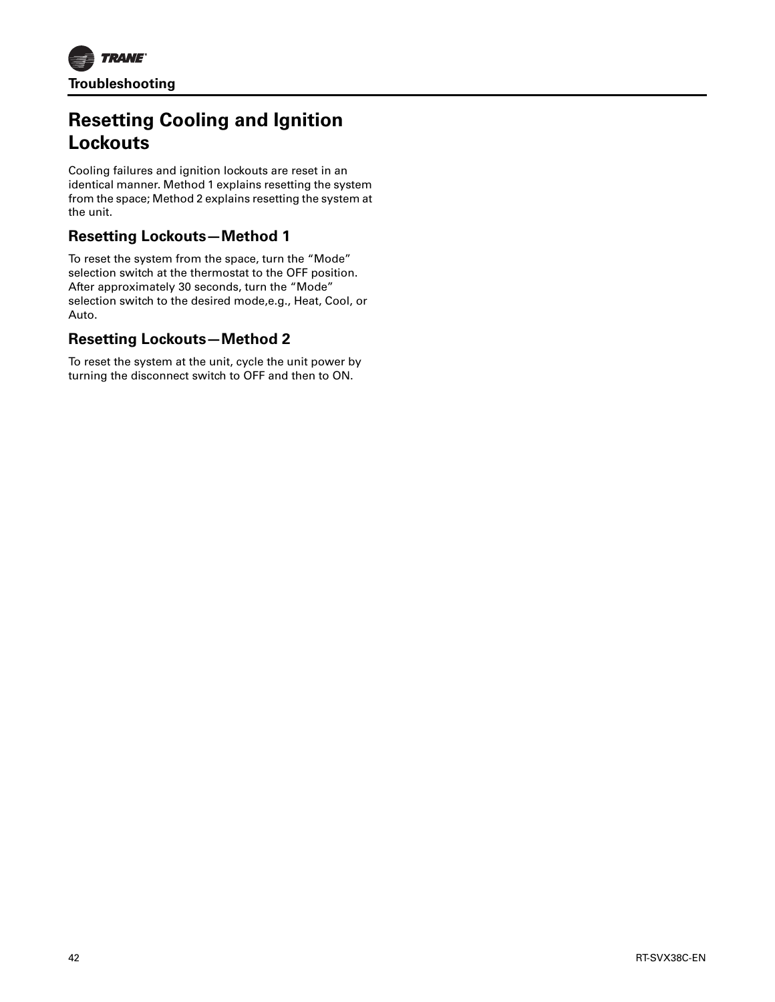

# **Resetting Cooling and Ignition Lockouts**

Cooling failures and ignition lockouts are reset in an identical manner. Method 1 explains resetting the system from the space; Method 2 explains resetting the system at the unit.

# **Resetting Lockouts—Method 1**

To reset the system from the space, turn the "Mode" selection switch at the thermostat to the OFF position. After approximately 30 seconds, turn the "Mode" selection switch to the desired mode,e.g., Heat, Cool, or Auto.

# **Resetting Lockouts—Method 2**

To reset the system at the unit, cycle the unit power by turning the disconnect switch to OFF and then to ON.